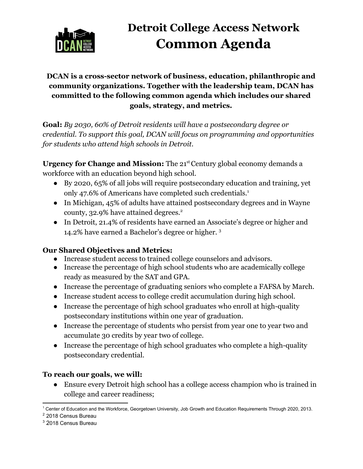

# **Detroit College Access Network Common Agenda**

#### **DCAN is a cross-sector network of business, education, philanthropic and community organizations. Together with the leadership team, DCAN has committed to the following common agenda which includes our shared goals, strategy, and metrics.**

**Goal:** *By 2030, 60% of Detroit residents will have a postsecondary degree or credential. To support this goal, DCAN will focus on programming and opportunities for students who attend high schools in Detroit.*

**Urgency for Change and Mission:** The 21<sup>st</sup> Century global economy demands a workforce with an education beyond high school.

- By 2020, 65% of all jobs will require postsecondary education and training, yet only 47.6% of Americans have completed such credentials.<sup>1</sup>
- In Michigan, 45% of adults have attained postsecondary degrees and in Wayne county, 32.9% have attained degrees.<sup>2</sup>
- In Detroit, 21.4% of residents have earned an Associate's degree or higher and 14.2% have earned a Bachelor's degree or higher. <sup>3</sup>

#### **Our Shared Objectives and Metrics:**

- Increase student access to trained college counselors and advisors.
- Increase the percentage of high school students who are academically college ready as measured by the SAT and GPA.
- Increase the percentage of graduating seniors who complete a FAFSA by March.
- Increase student access to college credit accumulation during high school.
- Increase the percentage of high school graduates who enroll at high-quality postsecondary institutions within one year of graduation.
- Increase the percentage of students who persist from year one to year two and accumulate 30 credits by year two of college.
- Increase the percentage of high school graduates who complete a high-quality postsecondary credential.

#### **To reach our goals, we will:**

● Ensure every Detroit high school has a college access champion who is trained in college and career readiness;

<sup>1</sup> Center of Education and the Workforce, Georgetown University, Job Growth and Education Requirements Through 2020, 2013.

<sup>2</sup> 2018 Census Bureau

<sup>3</sup> 2018 Census Bureau